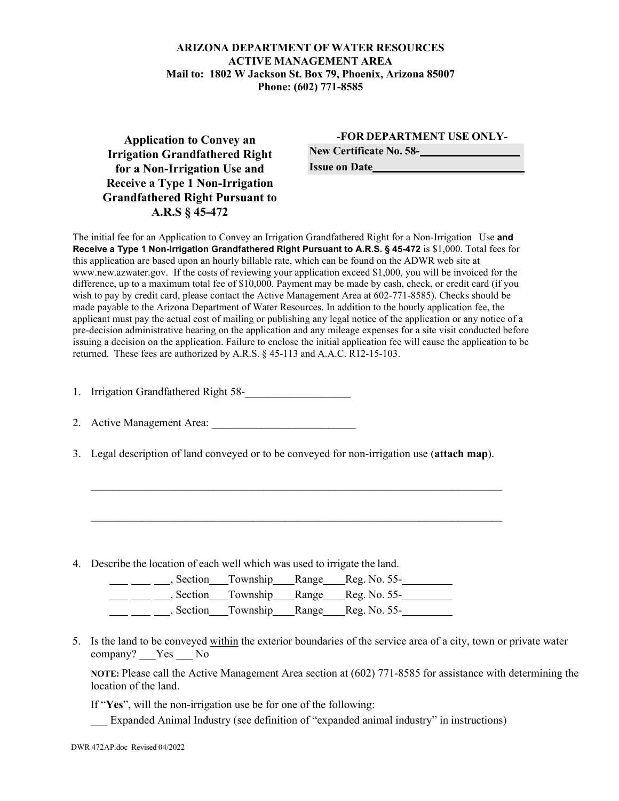## **ARIZONA DEPARTMENT OF WATER RESOURCES ACTIVE MANAGEMENT AREA Mail to: 1802 W Jackson St. Box 79, Phoenix, Arizona 85007 Phone: (602) [771-8585](http://www.azwater.gov/)**

**Application to Convey an Irrigation Grandfathered Right for a Non-Irrigation Use and Receive a Type 1 Non-Irrigation Grandfathered Right Pursuant to A.R.S § 45-472** 

## **-FOR DEPARTMENT USE ONLY-**

**New Certificate No. 58-**

**Issue on Date**

The initial fee for an Application to Convey an Irrigation Grandfathered Right for a Non-Irrigation Use **and Receive a Type 1 Non-Irrigation Grandfathered Right Pursuant to A.R.S. § 45-472** is \$1,000. Total fees for this application are based upon an hourly billable rate, which can be found on the ADWR web site at [www.new.azwater.gov.](http://www.new.azwater.gov/) If the costs of reviewing your application exceed \$1,000, you will be invoiced for the difference, up to a maximum total fee of \$10,000. Payment may be made by cash, check, or credit card (if you wish to pay by credit card, please contact the Active Management Area at 602-771-8585). Checks should be made payable to the Arizona Department of Water Resources. In addition to the hourly application fee, the applicant must pay the actual cost of mailing or publishing any legal notice of the application or any notice of a pre-decision administrative hearing on the application and any mileage expenses for a site visit conducted before issuing a decision on the application. Failure to enclose the initial application fee will cause the application to be returned. These fees are authorized by A.R.S. § 45-113 and A.A.C. R12-15-103.

1. Irrigation Grandfathered Right 58-

2. Active Management Area:

3. Legal description of land conveyed or to be conveyed for non-irrigation use (**attach map**).

 $\mathcal{L}_\text{max}$  , and the contribution of the contribution of the contribution of the contribution of the contribution of the contribution of the contribution of the contribution of the contribution of the contribution of t

 $\mathcal{L}_\text{max}$  , and the contribution of the contribution of the contribution of the contribution of the contribution of the contribution of the contribution of the contribution of the contribution of the contribution of t

4. Describe the location of each well which was used to irrigate the land.

|  | , Section Township Range Reg. No. 55- |
|--|---------------------------------------|
|  | Section Township Range Reg. No. 55-   |
|  | Section Township Range Reg. No. 55-   |

5. Is the land to be conveyed within the exterior boundaries of the service area of a city, town or private water company? Yes No

**NOTE:** Please call the Active Management Area section at (602) 771-8585 for assistance with determining the location of the land.

If "**Yes**", will the non-irrigation use be for one of the following:

\_\_\_ Expanded Animal Industry (see definition of "expanded animal industry" in instructions)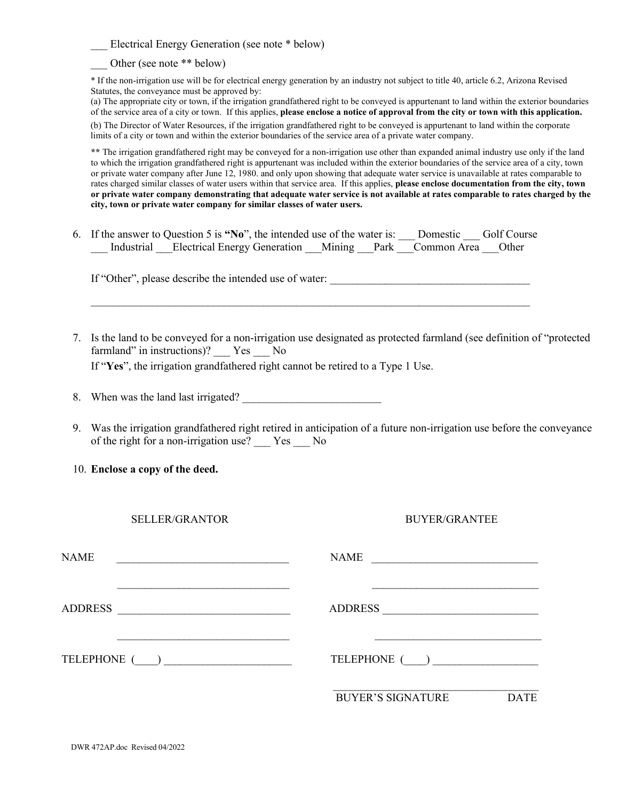Electrical Energy Generation (see note \* below)

Other (see note \*\* below)

\* If the non-irrigation use will be for electrical energy generation by an industry not subject to title 40, article 6.2, Arizona Revised Statutes, the conveyance must be approved by:

(a) The appropriate city or town, if the irrigation grandfathered right to be conveyed is appurtenant to land within the exterior boundaries of the service area of a city or town. If this applies, **please enclose a notice of approval from the city or town with this application.** (b) The Director of Water Resources, if the irrigation grandfathered right to be conveyed is appurtenant to land within the corporate limits of a city or town and within the exterior boundaries of the service area of a private water company.

**\*\*** The irrigation grandfathered right may be conveyed for a non-irrigation use other than expanded animal industry use only if the land to which the irrigation grandfathered right is appurtenant was included within the exterior boundaries of the service area of a city, town or private water company after June 12, 1980. and only upon showing that adequate water service is unavailable at rates comparable to rates charged similar classes of water users within that service area. If this applies, **please enclose documentation from the city, town or private water company demonstrating that adequate water service is not available at rates comparable to rates charged by the city, town or private water company for similar classes of water users.**

6. If the answer to Question 5 is **"No**", the intended use of the water is: \_\_\_ Domestic \_\_\_ Golf Course Industrial Electrical Energy Generation Mining Park Common Area Other

 $\mathcal{L}_\text{max}$  , and the contribution of the contribution of the contribution of the contribution of the contribution of the contribution of the contribution of the contribution of the contribution of the contribution of t

If "Other", please describe the intended use of water: \_\_\_\_\_\_\_\_\_\_\_\_\_\_\_\_\_\_\_\_\_\_\_\_\_\_

- 7. Is the land to be conveyed for a non-irrigation use designated as protected farmland (see definition of "protected farmland" in instructions)? \_\_\_ Yes \_\_\_ No If "**Yes**", the irrigation grandfathered right cannot be retired to a Type 1 Use.
- 8. When was the land last irrigated?
- 9. Was the irrigation grandfathered right retired in anticipation of a future non-irrigation use before the conveyance of the right for a non-irrigation use? \_\_\_ Yes \_\_\_ No
- 10. **Enclose a copy of the deed.**

BUYER/GRANTEE

| <b>NAME</b>                                                                                                                            | <b>NAME</b>                             |  |  |
|----------------------------------------------------------------------------------------------------------------------------------------|-----------------------------------------|--|--|
| <b>ADDRESS</b><br><u> 1980 - Jan Samuel Barbara, margaret e populazion del control del control del control del control de la provi</u> | <b>ADDRESS</b>                          |  |  |
| TELEPHONE ( )                                                                                                                          | TELEPHONE ( )                           |  |  |
|                                                                                                                                        | <b>BUYER'S SIGNATURE</b><br><b>DATE</b> |  |  |